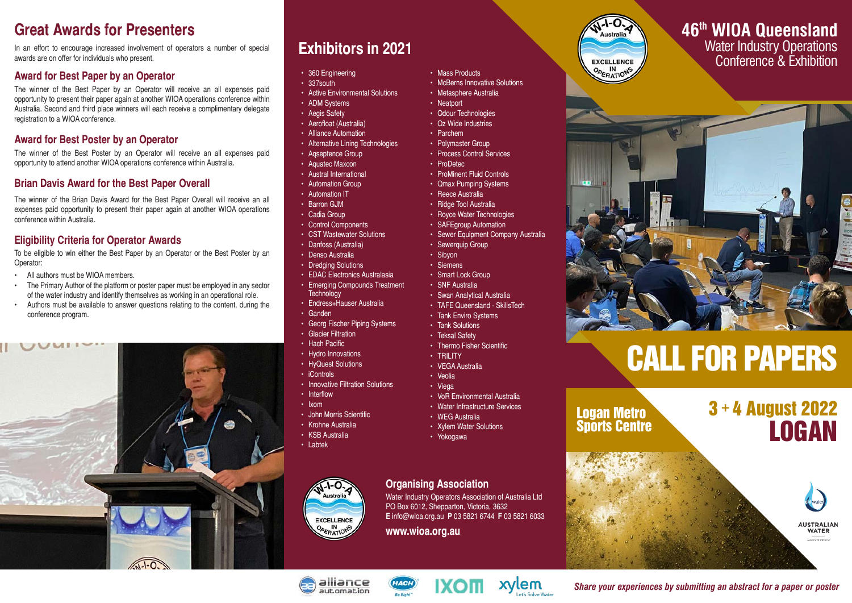## **Great Awards for Presenters**

In an effort to encourage increased involvement of operators a number of special awards are on offer for individuals who present.

#### **Award for Best Paper by an Operator**

The winner of the Best Paper by an Operator will receive an all expenses paid opportunity to present their paper again at another WIOA operations conference within Australia. Second and third place winners will each receive a complimentary delegate registration to a WIOA conference.

## **Award for Best Poster by an Operator**

The winner of the Best Poster by an Operator will receive an all expenses paid opportunity to attend another WIOA operations conference within Australia.

## **Brian Davis Award for the Best Paper Overall**

The winner of the Brian Davis Award for the Best Paper Overall will receive an all expenses paid opportunity to present their paper again at another WIOA operations conference within Australia.

### **Eligibility Criteria for Operator Awards**

To be eligible to win either the Best Paper by an Operator or the Best Poster by an Operator:

- All authors must be WIOA members.
- The Primary Author of the platform or poster paper must be employed in any sector of the water industry and identify themselves as working in an operational role.
- Authors must be available to answer questions relating to the content, during the conference program.



## **Exhibitors in 2021**

- 360 Engineering
- 337south
- Active Environmental Solutions
- ADM Systems
- Aegis Safety
- Aerofloat (Australia)
- Alliance Automation
- Alternative Lining Technologies
- Aqseptence Group
- Aquatec Maxcon
- Austral International
- Automation Group
- Automation IT
- Barron GJM
- Cadia Group
- Control Components
- CST Wastewater Solutions
- Danfoss (Australia)
- Denso Australia
- Dredaina Solutions
- EDAC Electronics Australasia • Emerging Compounds Treatment
- **Technology** • Endress+Hauser Australia
- Ganden
- Georg Fischer Piping Systems
- Glacier Filtration
- Hach Pacific
- Hydro Innovations
- HyQuest Solutions
- iControls
- Innovative Filtration Solutions
- Interflow
- Ixom
- John Morris Scientific
- Krohne Australia
- KSB Australia • Labtek
- 



## **Organising Association**

Water Industry Operators Association of Australia Ltd PO Box 6012, Shepparton, Victoria, 3632 **E** info@wioa.org.au **P** 03 5821 6744 **F** 03 5821 6033

**www.wioa.org.au**



## **46th WIOA Queensland**

Water Industry Operations Conference & Exhibition



# CALL FOR PAPERS

Logan Metro Sports Centre









xylem

*Share your experiences by submitting an abstract for a paper or poster*

- Veolia • Viega
	-
	- Xylem Water Solutions
	- Yokogawa

• Teksal Safety • Thermo Fisher Scientific • TRILITY

- VEGA Australia
	- VoR Environmental Australia

• Mass Products

• Neatport • Odour Technologies • Oz Wide Industries • Parchem • Polymaster Group • Process Control Services

• ProDetec

• ProMinent Fluid Controls • Qmax Pumping Systems • Reece Australia • Ridge Tool Australia • Royce Water Technologies • SAFFgroup Automation

• Sewerquip Group • Sibyon • Siemens • Smart Lock Group • SNF Australia

• Swan Analytical Australia • TAFE Queensland - SkillsTech • Tank Enviro Systems • Tank Solutions

• Sewer Equipment Company Australia

• McBerns Innovative Solutions • Metasphere Australia

- 
- 

• Water Infrastructure Services • WEG Australia